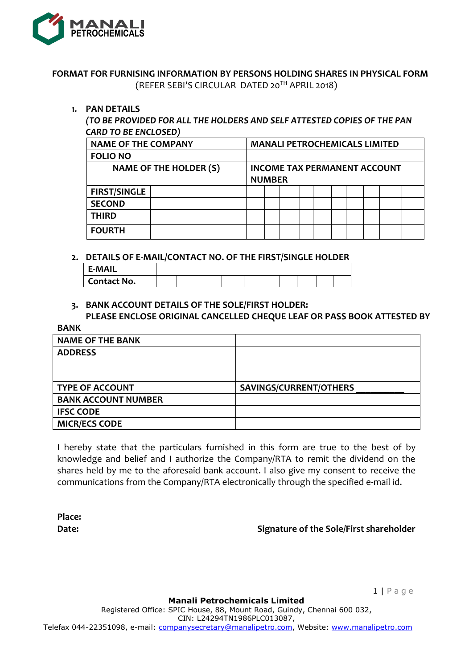

# **FORMAT FOR FURNISING INFORMATION BY PERSONS HOLDING SHARES IN PHYSICAL FORM** (REFER SEBI'S CIRCULAR DATED 20TH APRIL 2018)

### **1. PAN DETAILS**

# *(TO BE PROVIDED FOR ALL THE HOLDERS AND SELF ATTESTED COPIES OF THE PAN CARD TO BE ENCLOSED)*

| <b>NAME OF THE COMPANY</b>    |  |                                                      | <b>MANALI PETROCHEMICALS LIMITED</b> |  |  |  |  |  |  |  |  |  |
|-------------------------------|--|------------------------------------------------------|--------------------------------------|--|--|--|--|--|--|--|--|--|
| <b>FOLIO NO</b>               |  |                                                      |                                      |  |  |  |  |  |  |  |  |  |
| <b>NAME OF THE HOLDER (S)</b> |  | <b>INCOME TAX PERMANENT ACCOUNT</b><br><b>NUMBER</b> |                                      |  |  |  |  |  |  |  |  |  |
| <b>FIRST/SINGLE</b>           |  |                                                      |                                      |  |  |  |  |  |  |  |  |  |
| <b>SECOND</b>                 |  |                                                      |                                      |  |  |  |  |  |  |  |  |  |
| <b>THIRD</b>                  |  |                                                      |                                      |  |  |  |  |  |  |  |  |  |
| <b>FOURTH</b>                 |  |                                                      |                                      |  |  |  |  |  |  |  |  |  |

### **2. DETAILS OF E-MAIL/CONTACT NO. OF THE FIRST/SINGLE HOLDER**

| <b>E-MAIL</b> |  |  |  |  |  |
|---------------|--|--|--|--|--|
| Contact No.   |  |  |  |  |  |

# **3. BANK ACCOUNT DETAILS OF THE SOLE/FIRST HOLDER:**

#### **PLEASE ENCLOSE ORIGINAL CANCELLED CHEQUE LEAF OR PASS BOOK ATTESTED BY BANK**

| <b>NAME OF THE BANK</b>    |                        |
|----------------------------|------------------------|
| <b>ADDRESS</b>             |                        |
|                            |                        |
|                            |                        |
| <b>TYPE OF ACCOUNT</b>     | SAVINGS/CURRENT/OTHERS |
| <b>BANK ACCOUNT NUMBER</b> |                        |
| <b>IFSC CODE</b>           |                        |
| <b>MICR/ECS CODE</b>       |                        |

I hereby state that the particulars furnished in this form are true to the best of by knowledge and belief and I authorize the Company/RTA to remit the dividend on the shares held by me to the aforesaid bank account. I also give my consent to receive the communications from the Company/RTA electronically through the specified e-mail id.

**Place:**

**Date: Signature of the Sole/First shareholder**

1 | P a g e